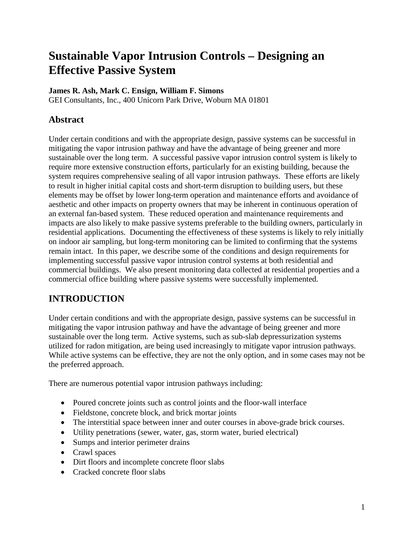# **Sustainable Vapor Intrusion Controls – Designing an Effective Passive System**

#### **James R. Ash, Mark C. Ensign, William F. Simons**

GEI Consultants, Inc., 400 Unicorn Park Drive, Woburn MA 01801

### **Abstract**

Under certain conditions and with the appropriate design, passive systems can be successful in mitigating the vapor intrusion pathway and have the advantage of being greener and more sustainable over the long term. A successful passive vapor intrusion control system is likely to require more extensive construction efforts, particularly for an existing building, because the system requires comprehensive sealing of all vapor intrusion pathways. These efforts are likely to result in higher initial capital costs and short-term disruption to building users, but these elements may be offset by lower long-term operation and maintenance efforts and avoidance of aesthetic and other impacts on property owners that may be inherent in continuous operation of an external fan-based system. These reduced operation and maintenance requirements and impacts are also likely to make passive systems preferable to the building owners, particularly in residential applications. Documenting the effectiveness of these systems is likely to rely initially on indoor air sampling, but long-term monitoring can be limited to confirming that the systems remain intact. In this paper, we describe some of the conditions and design requirements for implementing successful passive vapor intrusion control systems at both residential and commercial buildings. We also present monitoring data collected at residential properties and a commercial office building where passive systems were successfully implemented.

# **INTRODUCTION**

Under certain conditions and with the appropriate design, passive systems can be successful in mitigating the vapor intrusion pathway and have the advantage of being greener and more sustainable over the long term. Active systems, such as sub-slab depressurization systems utilized for radon mitigation, are being used increasingly to mitigate vapor intrusion pathways. While active systems can be effective, they are not the only option, and in some cases may not be the preferred approach.

There are numerous potential vapor intrusion pathways including:

- Poured concrete joints such as control joints and the floor-wall interface
- Fieldstone, concrete block, and brick mortar joints
- The interstitial space between inner and outer courses in above-grade brick courses.
- Utility penetrations (sewer, water, gas, storm water, buried electrical)
- Sumps and interior perimeter drains
- Crawl spaces
- Dirt floors and incomplete concrete floor slabs
- Cracked concrete floor slabs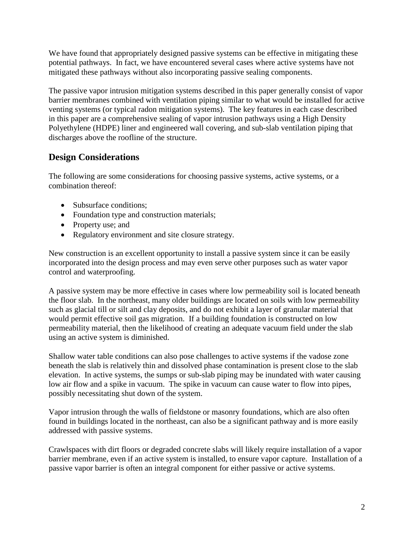We have found that appropriately designed passive systems can be effective in mitigating these potential pathways. In fact, we have encountered several cases where active systems have not mitigated these pathways without also incorporating passive sealing components.

The passive vapor intrusion mitigation systems described in this paper generally consist of vapor barrier membranes combined with ventilation piping similar to what would be installed for active venting systems (or typical radon mitigation systems). The key features in each case described in this paper are a comprehensive sealing of vapor intrusion pathways using a High Density Polyethylene (HDPE) liner and engineered wall covering, and sub-slab ventilation piping that discharges above the roofline of the structure.

## **Design Considerations**

The following are some considerations for choosing passive systems, active systems, or a combination thereof:

- Subsurface conditions:
- Foundation type and construction materials;
- Property use; and
- Regulatory environment and site closure strategy.

New construction is an excellent opportunity to install a passive system since it can be easily incorporated into the design process and may even serve other purposes such as water vapor control and waterproofing.

A passive system may be more effective in cases where low permeability soil is located beneath the floor slab. In the northeast, many older buildings are located on soils with low permeability such as glacial till or silt and clay deposits, and do not exhibit a layer of granular material that would permit effective soil gas migration. If a building foundation is constructed on low permeability material, then the likelihood of creating an adequate vacuum field under the slab using an active system is diminished.

Shallow water table conditions can also pose challenges to active systems if the vadose zone beneath the slab is relatively thin and dissolved phase contamination is present close to the slab elevation. In active systems, the sumps or sub-slab piping may be inundated with water causing low air flow and a spike in vacuum. The spike in vacuum can cause water to flow into pipes, possibly necessitating shut down of the system.

Vapor intrusion through the walls of fieldstone or masonry foundations, which are also often found in buildings located in the northeast, can also be a significant pathway and is more easily addressed with passive systems.

Crawlspaces with dirt floors or degraded concrete slabs will likely require installation of a vapor barrier membrane, even if an active system is installed, to ensure vapor capture. Installation of a passive vapor barrier is often an integral component for either passive or active systems.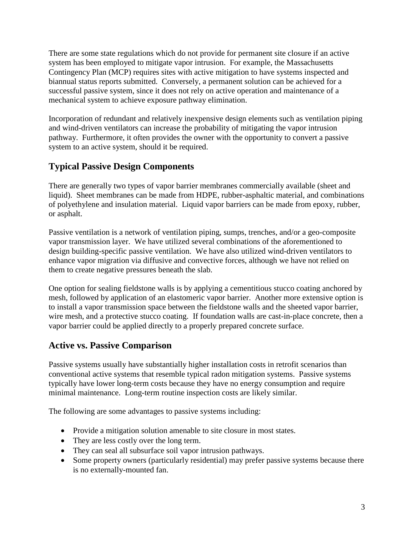There are some state regulations which do not provide for permanent site closure if an active system has been employed to mitigate vapor intrusion. For example, the Massachusetts Contingency Plan (MCP) requires sites with active mitigation to have systems inspected and biannual status reports submitted. Conversely, a permanent solution can be achieved for a successful passive system, since it does not rely on active operation and maintenance of a mechanical system to achieve exposure pathway elimination.

Incorporation of redundant and relatively inexpensive design elements such as ventilation piping and wind-driven ventilators can increase the probability of mitigating the vapor intrusion pathway. Furthermore, it often provides the owner with the opportunity to convert a passive system to an active system, should it be required.

## **Typical Passive Design Components**

There are generally two types of vapor barrier membranes commercially available (sheet and liquid). Sheet membranes can be made from HDPE, rubber-asphaltic material, and combinations of polyethylene and insulation material. Liquid vapor barriers can be made from epoxy, rubber, or asphalt.

Passive ventilation is a network of ventilation piping, sumps, trenches, and/or a geo-composite vapor transmission layer. We have utilized several combinations of the aforementioned to design building-specific passive ventilation. We have also utilized wind-driven ventilators to enhance vapor migration via diffusive and convective forces, although we have not relied on them to create negative pressures beneath the slab.

One option for sealing fieldstone walls is by applying a cementitious stucco coating anchored by mesh, followed by application of an elastomeric vapor barrier. Another more extensive option is to install a vapor transmission space between the fieldstone walls and the sheeted vapor barrier, wire mesh, and a protective stucco coating. If foundation walls are cast-in-place concrete, then a vapor barrier could be applied directly to a properly prepared concrete surface.

### **Active vs. Passive Comparison**

Passive systems usually have substantially higher installation costs in retrofit scenarios than conventional active systems that resemble typical radon mitigation systems. Passive systems typically have lower long-term costs because they have no energy consumption and require minimal maintenance. Long-term routine inspection costs are likely similar.

The following are some advantages to passive systems including:

- Provide a mitigation solution amenable to site closure in most states.
- They are less costly over the long term.
- They can seal all subsurface soil vapor intrusion pathways.
- Some property owners (particularly residential) may prefer passive systems because there is no externally-mounted fan.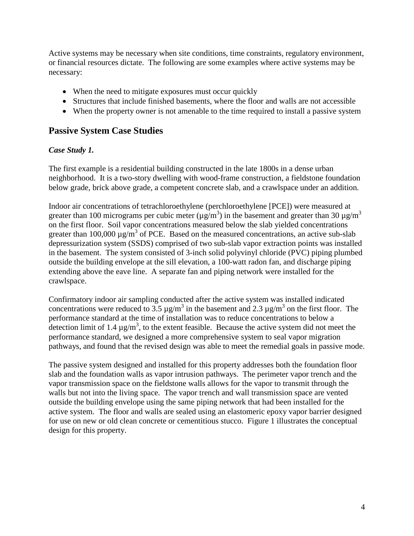Active systems may be necessary when site conditions, time constraints, regulatory environment, or financial resources dictate. The following are some examples where active systems may be necessary:

- When the need to mitigate exposures must occur quickly
- Structures that include finished basements, where the floor and walls are not accessible
- When the property owner is not amenable to the time required to install a passive system

### **Passive System Case Studies**

#### *Case Study 1.*

The first example is a residential building constructed in the late 1800s in a dense urban neighborhood. It is a two-story dwelling with wood-frame construction, a fieldstone foundation below grade, brick above grade, a competent concrete slab, and a crawlspace under an addition.

Indoor air concentrations of tetrachloroethylene (perchloroethylene [PCE]) were measured at greater than 100 micrograms per cubic meter ( $\mu$ g/m<sup>3</sup>) in the basement and greater than 30  $\mu$ g/m<sup>3</sup> on the first floor. Soil vapor concentrations measured below the slab yielded concentrations greater than 100,000  $\mu$ g/m<sup>3</sup> of PCE. Based on the measured concentrations, an active sub-slab depressurization system (SSDS) comprised of two sub-slab vapor extraction points was installed in the basement. The system consisted of 3-inch solid polyvinyl chloride (PVC) piping plumbed outside the building envelope at the sill elevation, a 100-watt radon fan, and discharge piping extending above the eave line. A separate fan and piping network were installed for the crawlspace.

Confirmatory indoor air sampling conducted after the active system was installed indicated concentrations were reduced to  $3.5 \mu g/m^3$  in the basement and  $2.3 \mu g/m^3$  on the first floor. The performance standard at the time of installation was to reduce concentrations to below a detection limit of 1.4  $\mu$ g/m<sup>3</sup>, to the extent feasible. Because the active system did not meet the performance standard, we designed a more comprehensive system to seal vapor migration pathways, and found that the revised design was able to meet the remedial goals in passive mode.

The passive system designed and installed for this property addresses both the foundation floor slab and the foundation walls as vapor intrusion pathways. The perimeter vapor trench and the vapor transmission space on the fieldstone walls allows for the vapor to transmit through the walls but not into the living space. The vapor trench and wall transmission space are vented outside the building envelope using the same piping network that had been installed for the active system. The floor and walls are sealed using an elastomeric epoxy vapor barrier designed for use on new or old clean concrete or cementitious stucco. Figure 1 illustrates the conceptual design for this property.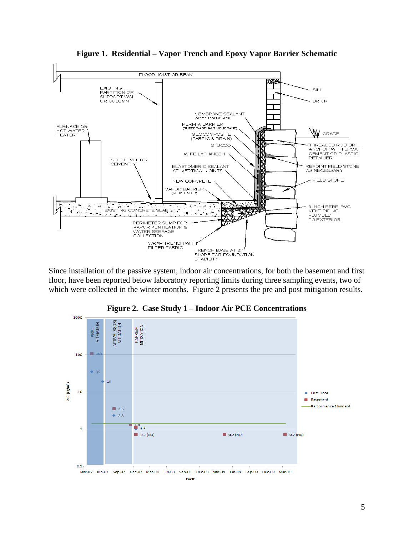

**Figure 1. Residential – Vapor Trench and Epoxy Vapor Barrier Schematic**

Since installation of the passive system, indoor air concentrations, for both the basement and first floor, have been reported below laboratory reporting limits during three sampling events, two of which were collected in the winter months. Figure 2 presents the pre and post mitigation results.



**Figure 2. Case Study 1 – Indoor Air PCE Concentrations**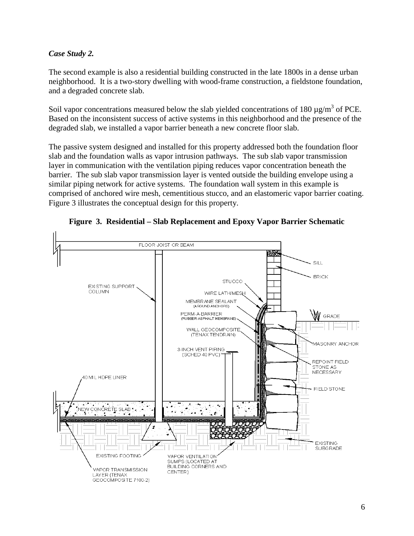#### *Case Study 2.*

The second example is also a residential building constructed in the late 1800s in a dense urban neighborhood. It is a two-story dwelling with wood-frame construction, a fieldstone foundation, and a degraded concrete slab.

Soil vapor concentrations measured below the slab yielded concentrations of 180  $\mu$ g/m<sup>3</sup> of PCE. Based on the inconsistent success of active systems in this neighborhood and the presence of the degraded slab, we installed a vapor barrier beneath a new concrete floor slab.

The passive system designed and installed for this property addressed both the foundation floor slab and the foundation walls as vapor intrusion pathways. The sub slab vapor transmission layer in communication with the ventilation piping reduces vapor concentration beneath the barrier. The sub slab vapor transmission layer is vented outside the building envelope using a similar piping network for active systems. The foundation wall system in this example is comprised of anchored wire mesh, cementitious stucco, and an elastomeric vapor barrier coating. Figure 3 illustrates the conceptual design for this property.



**Figure 3. Residential – Slab Replacement and Epoxy Vapor Barrier Schematic**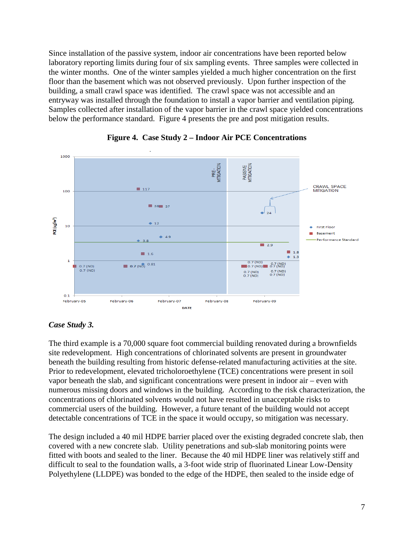Since installation of the passive system, indoor air concentrations have been reported below laboratory reporting limits during four of six sampling events. Three samples were collected in the winter months. One of the winter samples yielded a much higher concentration on the first floor than the basement which was not observed previously. Upon further inspection of the building, a small crawl space was identified. The crawl space was not accessible and an entryway was installed through the foundation to install a vapor barrier and ventilation piping. Samples collected after installation of the vapor barrier in the crawl space yielded concentrations below the performance standard. Figure 4 presents the pre and post mitigation results.





#### *Case Study 3.*

The third example is a 70,000 square foot commercial building renovated during a brownfields site redevelopment. High concentrations of chlorinated solvents are present in groundwater beneath the building resulting from historic defense-related manufacturing activities at the site. Prior to redevelopment, elevated tricholoroethylene (TCE) concentrations were present in soil vapor beneath the slab, and significant concentrations were present in indoor air – even with numerous missing doors and windows in the building. According to the risk characterization, the concentrations of chlorinated solvents would not have resulted in unacceptable risks to commercial users of the building. However, a future tenant of the building would not accept detectable concentrations of TCE in the space it would occupy, so mitigation was necessary.

The design included a 40 mil HDPE barrier placed over the existing degraded concrete slab, then covered with a new concrete slab. Utility penetrations and sub-slab monitoring points were fitted with boots and sealed to the liner. Because the 40 mil HDPE liner was relatively stiff and difficult to seal to the foundation walls, a 3-foot wide strip of fluorinated Linear Low-Density Polyethylene (LLDPE) was bonded to the edge of the HDPE, then sealed to the inside edge of